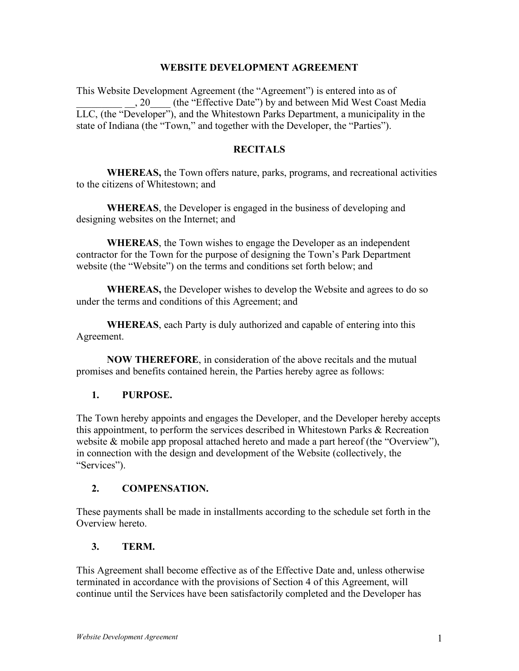#### **WEBSITE DEVELOPMENT AGREEMENT**

This Website Development Agreement (the "Agreement") is entered into as of \_\_\_\_\_\_\_\_\_ \_\_, 20\_\_\_\_ (the "Effective Date") by and between Mid West Coast Media LLC, (the "Developer"), and the Whitestown Parks Department, a municipality in the state of Indiana (the "Town," and together with the Developer, the "Parties").

### **RECITALS**

**WHEREAS,** the Town offers nature, parks, programs, and recreational activities to the citizens of Whitestown; and

**WHEREAS**, the Developer is engaged in the business of developing and designing websites on the Internet; and

**WHEREAS**, the Town wishes to engage the Developer as an independent contractor for the Town for the purpose of designing the Town's Park Department website (the "Website") on the terms and conditions set forth below; and

**WHEREAS,** the Developer wishes to develop the Website and agrees to do so under the terms and conditions of this Agreement; and

**WHEREAS**, each Party is duly authorized and capable of entering into this Agreement.

**NOW THEREFORE**, in consideration of the above recitals and the mutual promises and benefits contained herein, the Parties hereby agree as follows:

#### **1. PURPOSE.**

The Town hereby appoints and engages the Developer, and the Developer hereby accepts this appointment, to perform the services described in Whitestown Parks & Recreation website & mobile app proposal attached hereto and made a part hereof (the "Overview"), in connection with the design and development of the Website (collectively, the "Services").

# **2. COMPENSATION.**

These payments shall be made in installments according to the schedule set forth in the Overview hereto.

# **3. TERM.**

This Agreement shall become effective as of the Effective Date and, unless otherwise terminated in accordance with the provisions of Section 4 of this Agreement, will continue until the Services have been satisfactorily completed and the Developer has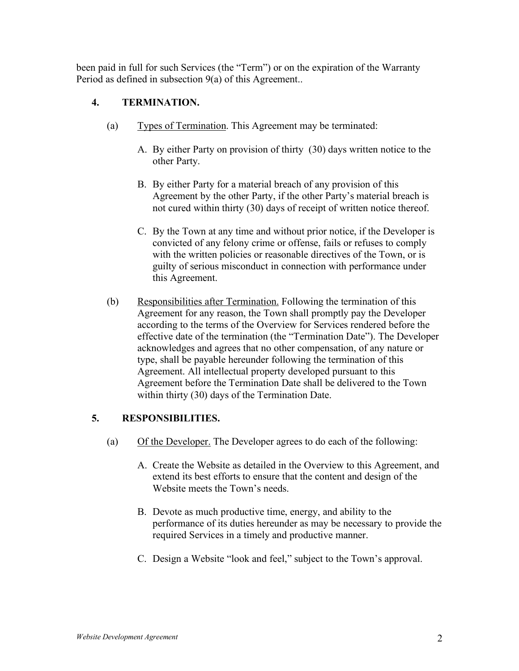been paid in full for such Services (the "Term") or on the expiration of the Warranty Period as defined in subsection 9(a) of this Agreement..

## **4. TERMINATION.**

- (a) Types of Termination. This Agreement may be terminated:
	- A. By either Party on provision of thirty (30) days written notice to the other Party.
	- B. By either Party for a material breach of any provision of this Agreement by the other Party, if the other Party's material breach is not cured within thirty (30) days of receipt of written notice thereof.
	- C. By the Town at any time and without prior notice, if the Developer is convicted of any felony crime or offense, fails or refuses to comply with the written policies or reasonable directives of the Town, or is guilty of serious misconduct in connection with performance under this Agreement.
- (b) Responsibilities after Termination. Following the termination of this Agreement for any reason, the Town shall promptly pay the Developer according to the terms of the Overview for Services rendered before the effective date of the termination (the "Termination Date"). The Developer acknowledges and agrees that no other compensation, of any nature or type, shall be payable hereunder following the termination of this Agreement. All intellectual property developed pursuant to this Agreement before the Termination Date shall be delivered to the Town within thirty (30) days of the Termination Date.

#### **5. RESPONSIBILITIES.**

- (a) Of the Developer. The Developer agrees to do each of the following:
	- A. Create the Website as detailed in the Overview to this Agreement, and extend its best efforts to ensure that the content and design of the Website meets the Town's needs.
	- B. Devote as much productive time, energy, and ability to the performance of its duties hereunder as may be necessary to provide the required Services in a timely and productive manner.
	- C. Design a Website "look and feel," subject to the Town's approval.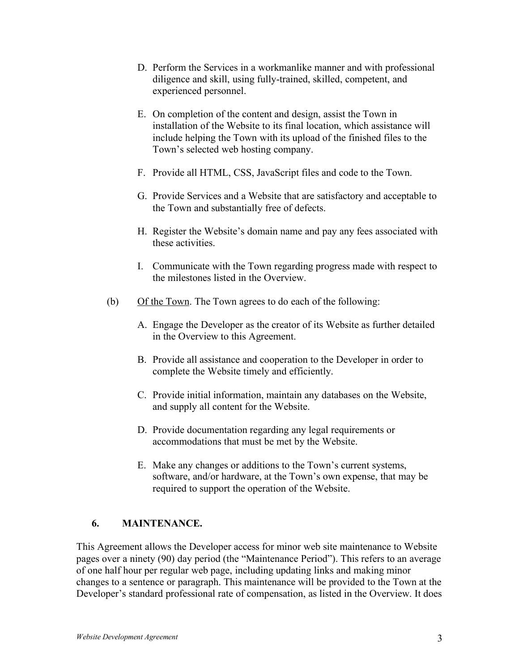- D. Perform the Services in a workmanlike manner and with professional diligence and skill, using fully-trained, skilled, competent, and experienced personnel.
- E. On completion of the content and design, assist the Town in installation of the Website to its final location, which assistance will include helping the Town with its upload of the finished files to the Town's selected web hosting company.
- F. Provide all HTML, CSS, JavaScript files and code to the Town.
- G. Provide Services and a Website that are satisfactory and acceptable to the Town and substantially free of defects.
- H. Register the Website's domain name and pay any fees associated with these activities.
- I. Communicate with the Town regarding progress made with respect to the milestones listed in the Overview.
- (b) Of the Town. The Town agrees to do each of the following:
	- A. Engage the Developer as the creator of its Website as further detailed in the Overview to this Agreement.
	- B. Provide all assistance and cooperation to the Developer in order to complete the Website timely and efficiently.
	- C. Provide initial information, maintain any databases on the Website, and supply all content for the Website.
	- D. Provide documentation regarding any legal requirements or accommodations that must be met by the Website.
	- E. Make any changes or additions to the Town's current systems, software, and/or hardware, at the Town's own expense, that may be required to support the operation of the Website.

# **6. MAINTENANCE.**

This Agreement allows the Developer access for minor web site maintenance to Website pages over a ninety (90) day period (the "Maintenance Period"). This refers to an average of one half hour per regular web page, including updating links and making minor changes to a sentence or paragraph. This maintenance will be provided to the Town at the Developer's standard professional rate of compensation, as listed in the Overview. It does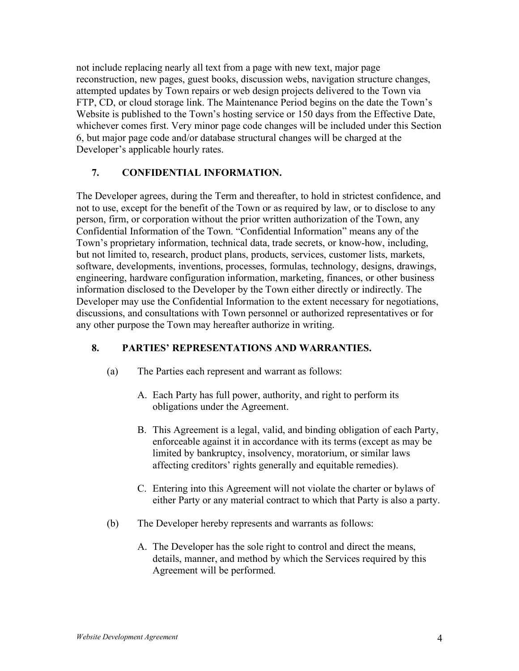not include replacing nearly all text from a page with new text, major page reconstruction, new pages, guest books, discussion webs, navigation structure changes, attempted updates by Town repairs or web design projects delivered to the Town via FTP, CD, or cloud storage link. The Maintenance Period begins on the date the Town's Website is published to the Town's hosting service or 150 days from the Effective Date, whichever comes first. Very minor page code changes will be included under this Section 6, but major page code and/or database structural changes will be charged at the Developer's applicable hourly rates.

#### **7. CONFIDENTIAL INFORMATION.**

The Developer agrees, during the Term and thereafter, to hold in strictest confidence, and not to use, except for the benefit of the Town or as required by law, or to disclose to any person, firm, or corporation without the prior written authorization of the Town, any Confidential Information of the Town. "Confidential Information" means any of the Town's proprietary information, technical data, trade secrets, or know-how, including, but not limited to, research, product plans, products, services, customer lists, markets, software, developments, inventions, processes, formulas, technology, designs, drawings, engineering, hardware configuration information, marketing, finances, or other business information disclosed to the Developer by the Town either directly or indirectly. The Developer may use the Confidential Information to the extent necessary for negotiations, discussions, and consultations with Town personnel or authorized representatives or for any other purpose the Town may hereafter authorize in writing.

#### **8. PARTIES' REPRESENTATIONS AND WARRANTIES.**

- (a) The Parties each represent and warrant as follows:
	- A. Each Party has full power, authority, and right to perform its obligations under the Agreement.
	- B. This Agreement is a legal, valid, and binding obligation of each Party, enforceable against it in accordance with its terms (except as may be limited by bankruptcy, insolvency, moratorium, or similar laws affecting creditors' rights generally and equitable remedies).
	- C. Entering into this Agreement will not violate the charter or bylaws of either Party or any material contract to which that Party is also a party.
- (b) The Developer hereby represents and warrants as follows:
	- A. The Developer has the sole right to control and direct the means, details, manner, and method by which the Services required by this Agreement will be performed.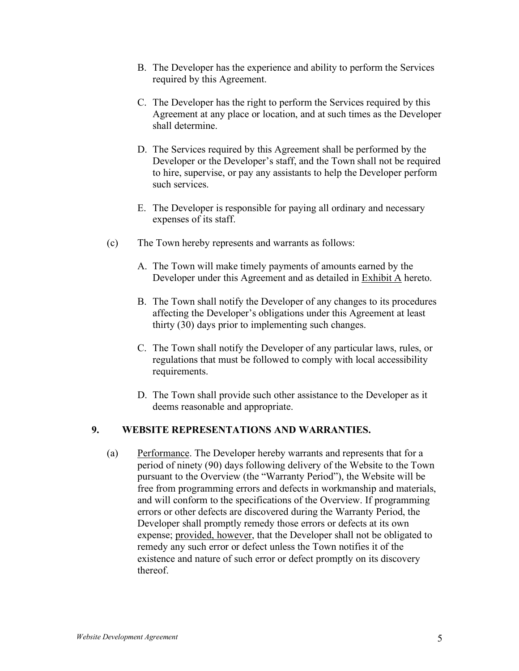- B. The Developer has the experience and ability to perform the Services required by this Agreement.
- C. The Developer has the right to perform the Services required by this Agreement at any place or location, and at such times as the Developer shall determine.
- D. The Services required by this Agreement shall be performed by the Developer or the Developer's staff, and the Town shall not be required to hire, supervise, or pay any assistants to help the Developer perform such services.
- E. The Developer is responsible for paying all ordinary and necessary expenses of its staff.
- (c) The Town hereby represents and warrants as follows:
	- A. The Town will make timely payments of amounts earned by the Developer under this Agreement and as detailed in Exhibit A hereto.
	- B. The Town shall notify the Developer of any changes to its procedures affecting the Developer's obligations under this Agreement at least thirty (30) days prior to implementing such changes.
	- C. The Town shall notify the Developer of any particular laws, rules, or regulations that must be followed to comply with local accessibility requirements.
	- D. The Town shall provide such other assistance to the Developer as it deems reasonable and appropriate.

### **9. WEBSITE REPRESENTATIONS AND WARRANTIES.**

(a) Performance. The Developer hereby warrants and represents that for a period of ninety (90) days following delivery of the Website to the Town pursuant to the Overview (the "Warranty Period"), the Website will be free from programming errors and defects in workmanship and materials, and will conform to the specifications of the Overview. If programming errors or other defects are discovered during the Warranty Period, the Developer shall promptly remedy those errors or defects at its own expense; provided, however, that the Developer shall not be obligated to remedy any such error or defect unless the Town notifies it of the existence and nature of such error or defect promptly on its discovery thereof.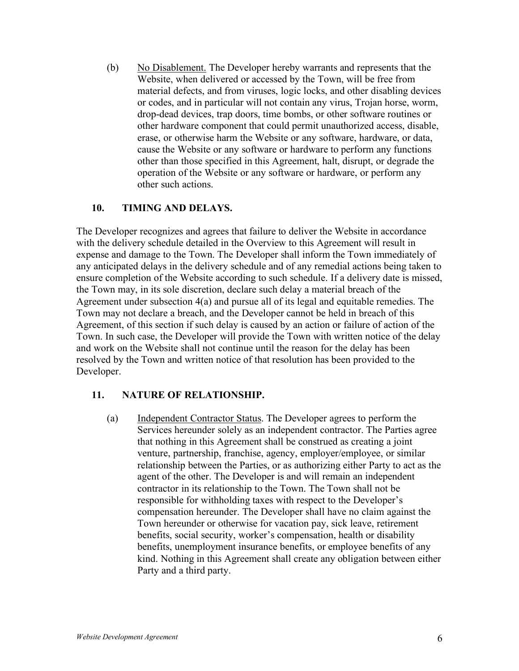(b) No Disablement. The Developer hereby warrants and represents that the Website, when delivered or accessed by the Town, will be free from material defects, and from viruses, logic locks, and other disabling devices or codes, and in particular will not contain any virus, Trojan horse, worm, drop-dead devices, trap doors, time bombs, or other software routines or other hardware component that could permit unauthorized access, disable, erase, or otherwise harm the Website or any software, hardware, or data, cause the Website or any software or hardware to perform any functions other than those specified in this Agreement, halt, disrupt, or degrade the operation of the Website or any software or hardware, or perform any other such actions.

#### **10. TIMING AND DELAYS.**

The Developer recognizes and agrees that failure to deliver the Website in accordance with the delivery schedule detailed in the Overview to this Agreement will result in expense and damage to the Town. The Developer shall inform the Town immediately of any anticipated delays in the delivery schedule and of any remedial actions being taken to ensure completion of the Website according to such schedule. If a delivery date is missed, the Town may, in its sole discretion, declare such delay a material breach of the Agreement under subsection 4(a) and pursue all of its legal and equitable remedies. The Town may not declare a breach, and the Developer cannot be held in breach of this Agreement, of this section if such delay is caused by an action or failure of action of the Town. In such case, the Developer will provide the Town with written notice of the delay and work on the Website shall not continue until the reason for the delay has been resolved by the Town and written notice of that resolution has been provided to the Developer.

#### **11. NATURE OF RELATIONSHIP.**

(a) Independent Contractor Status. The Developer agrees to perform the Services hereunder solely as an independent contractor. The Parties agree that nothing in this Agreement shall be construed as creating a joint venture, partnership, franchise, agency, employer/employee, or similar relationship between the Parties, or as authorizing either Party to act as the agent of the other. The Developer is and will remain an independent contractor in its relationship to the Town. The Town shall not be responsible for withholding taxes with respect to the Developer's compensation hereunder. The Developer shall have no claim against the Town hereunder or otherwise for vacation pay, sick leave, retirement benefits, social security, worker's compensation, health or disability benefits, unemployment insurance benefits, or employee benefits of any kind. Nothing in this Agreement shall create any obligation between either Party and a third party.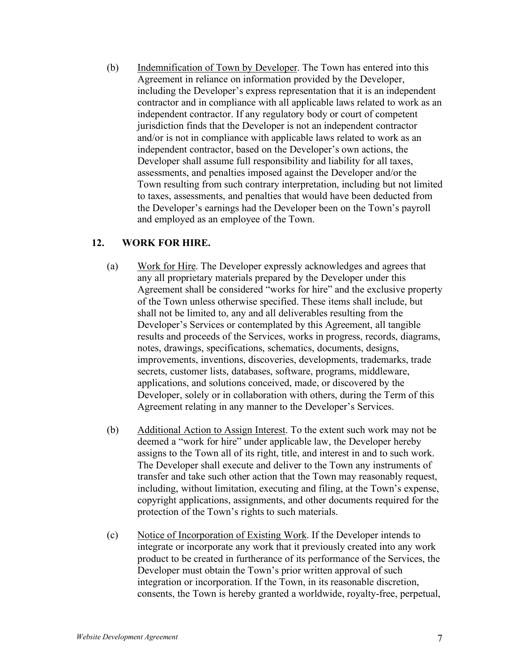(b) Indemnification of Town by Developer. The Town has entered into this Agreement in reliance on information provided by the Developer, including the Developer's express representation that it is an independent contractor and in compliance with all applicable laws related to work as an independent contractor. If any regulatory body or court of competent jurisdiction finds that the Developer is not an independent contractor and/or is not in compliance with applicable laws related to work as an independent contractor, based on the Developer's own actions, the Developer shall assume full responsibility and liability for all taxes, assessments, and penalties imposed against the Developer and/or the Town resulting from such contrary interpretation, including but not limited to taxes, assessments, and penalties that would have been deducted from the Developer's earnings had the Developer been on the Town's payroll and employed as an employee of the Town.

#### **12. WORK FOR HIRE.**

- (a) Work for Hire. The Developer expressly acknowledges and agrees that any all proprietary materials prepared by the Developer under this Agreement shall be considered "works for hire" and the exclusive property of the Town unless otherwise specified. These items shall include, but shall not be limited to, any and all deliverables resulting from the Developer's Services or contemplated by this Agreement, all tangible results and proceeds of the Services, works in progress, records, diagrams, notes, drawings, specifications, schematics, documents, designs, improvements, inventions, discoveries, developments, trademarks, trade secrets, customer lists, databases, software, programs, middleware, applications, and solutions conceived, made, or discovered by the Developer, solely or in collaboration with others, during the Term of this Agreement relating in any manner to the Developer's Services.
- (b) Additional Action to Assign Interest. To the extent such work may not be deemed a "work for hire" under applicable law, the Developer hereby assigns to the Town all of its right, title, and interest in and to such work. The Developer shall execute and deliver to the Town any instruments of transfer and take such other action that the Town may reasonably request, including, without limitation, executing and filing, at the Town's expense, copyright applications, assignments, and other documents required for the protection of the Town's rights to such materials.
- (c) Notice of Incorporation of Existing Work. If the Developer intends to integrate or incorporate any work that it previously created into any work product to be created in furtherance of its performance of the Services, the Developer must obtain the Town's prior written approval of such integration or incorporation. If the Town, in its reasonable discretion, consents, the Town is hereby granted a worldwide, royalty-free, perpetual,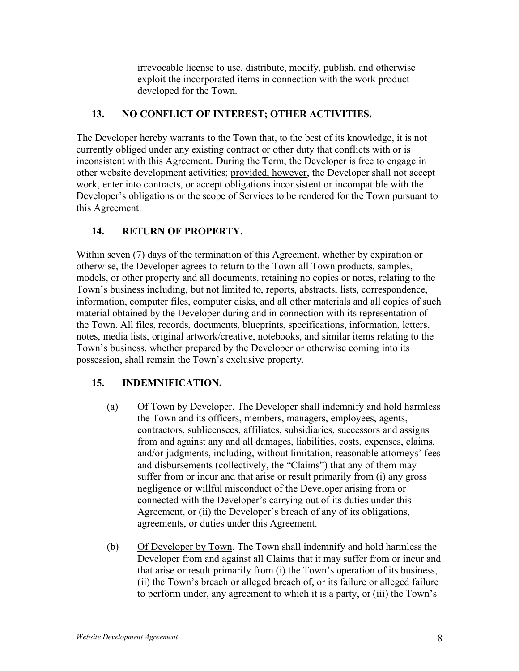irrevocable license to use, distribute, modify, publish, and otherwise exploit the incorporated items in connection with the work product developed for the Town.

### **13. NO CONFLICT OF INTEREST; OTHER ACTIVITIES.**

The Developer hereby warrants to the Town that, to the best of its knowledge, it is not currently obliged under any existing contract or other duty that conflicts with or is inconsistent with this Agreement. During the Term, the Developer is free to engage in other website development activities; provided, however, the Developer shall not accept work, enter into contracts, or accept obligations inconsistent or incompatible with the Developer's obligations or the scope of Services to be rendered for the Town pursuant to this Agreement.

# **14. RETURN OF PROPERTY.**

Within seven (7) days of the termination of this Agreement, whether by expiration or otherwise, the Developer agrees to return to the Town all Town products, samples, models, or other property and all documents, retaining no copies or notes, relating to the Town's business including, but not limited to, reports, abstracts, lists, correspondence, information, computer files, computer disks, and all other materials and all copies of such material obtained by the Developer during and in connection with its representation of the Town. All files, records, documents, blueprints, specifications, information, letters, notes, media lists, original artwork/creative, notebooks, and similar items relating to the Town's business, whether prepared by the Developer or otherwise coming into its possession, shall remain the Town's exclusive property.

# **15. INDEMNIFICATION.**

- (a) Of Town by Developer. The Developer shall indemnify and hold harmless the Town and its officers, members, managers, employees, agents, contractors, sublicensees, affiliates, subsidiaries, successors and assigns from and against any and all damages, liabilities, costs, expenses, claims, and/or judgments, including, without limitation, reasonable attorneys' fees and disbursements (collectively, the "Claims") that any of them may suffer from or incur and that arise or result primarily from (i) any gross negligence or willful misconduct of the Developer arising from or connected with the Developer's carrying out of its duties under this Agreement, or (ii) the Developer's breach of any of its obligations, agreements, or duties under this Agreement.
- (b) Of Developer by Town. The Town shall indemnify and hold harmless the Developer from and against all Claims that it may suffer from or incur and that arise or result primarily from (i) the Town's operation of its business, (ii) the Town's breach or alleged breach of, or its failure or alleged failure to perform under, any agreement to which it is a party, or (iii) the Town's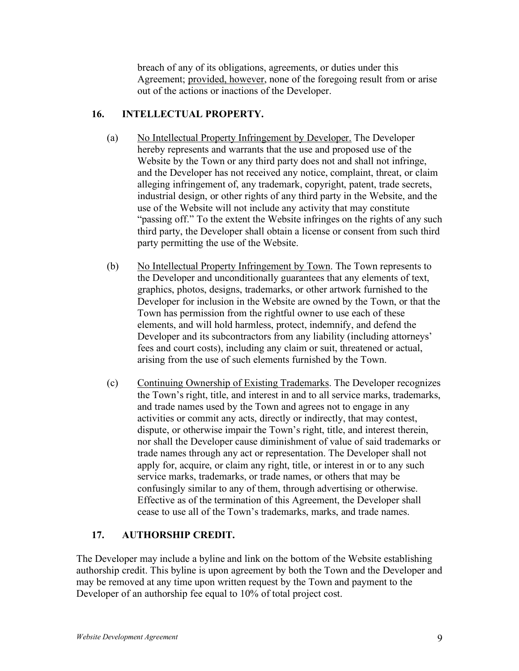breach of any of its obligations, agreements, or duties under this Agreement; provided, however, none of the foregoing result from or arise out of the actions or inactions of the Developer.

#### **16. INTELLECTUAL PROPERTY.**

- (a) No Intellectual Property Infringement by Developer. The Developer hereby represents and warrants that the use and proposed use of the Website by the Town or any third party does not and shall not infringe, and the Developer has not received any notice, complaint, threat, or claim alleging infringement of, any trademark, copyright, patent, trade secrets, industrial design, or other rights of any third party in the Website, and the use of the Website will not include any activity that may constitute "passing off." To the extent the Website infringes on the rights of any such third party, the Developer shall obtain a license or consent from such third party permitting the use of the Website.
- (b) No Intellectual Property Infringement by Town. The Town represents to the Developer and unconditionally guarantees that any elements of text, graphics, photos, designs, trademarks, or other artwork furnished to the Developer for inclusion in the Website are owned by the Town, or that the Town has permission from the rightful owner to use each of these elements, and will hold harmless, protect, indemnify, and defend the Developer and its subcontractors from any liability (including attorneys' fees and court costs), including any claim or suit, threatened or actual, arising from the use of such elements furnished by the Town.
- (c) Continuing Ownership of Existing Trademarks. The Developer recognizes the Town's right, title, and interest in and to all service marks, trademarks, and trade names used by the Town and agrees not to engage in any activities or commit any acts, directly or indirectly, that may contest, dispute, or otherwise impair the Town's right, title, and interest therein, nor shall the Developer cause diminishment of value of said trademarks or trade names through any act or representation. The Developer shall not apply for, acquire, or claim any right, title, or interest in or to any such service marks, trademarks, or trade names, or others that may be confusingly similar to any of them, through advertising or otherwise. Effective as of the termination of this Agreement, the Developer shall cease to use all of the Town's trademarks, marks, and trade names.

#### **17. AUTHORSHIP CREDIT.**

The Developer may include a byline and link on the bottom of the Website establishing authorship credit. This byline is upon agreement by both the Town and the Developer and may be removed at any time upon written request by the Town and payment to the Developer of an authorship fee equal to 10% of total project cost.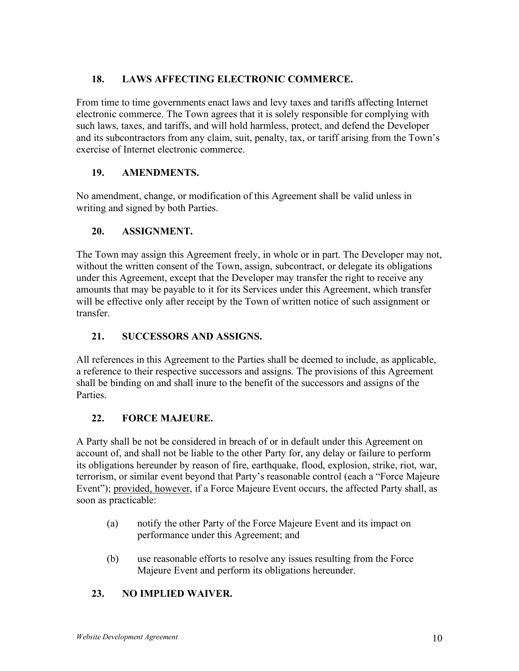# **18. LAWS AFFECTING ELECTRONIC COMMERCE.**

From time to time governments enact laws and levy taxes and tariffs affecting Internet electronic commerce. The Town agrees that it is solely responsible for complying with such laws, taxes, and tariffs, and will hold harmless, protect, and defend the Developer and its subcontractors from any claim, suit, penalty, tax, or tariff arising from the Town's exercise of Internet electronic commerce.

# **19. AMENDMENTS.**

No amendment, change, or modification of this Agreement shall be valid unless in writing and signed by both Parties.

# **20. ASSIGNMENT.**

The Town may assign this Agreement freely, in whole or in part. The Developer may not, without the written consent of the Town, assign, subcontract, or delegate its obligations under this Agreement, except that the Developer may transfer the right to receive any amounts that may be payable to it for its Services under this Agreement, which transfer will be effective only after receipt by the Town of written notice of such assignment or transfer.

# **21. SUCCESSORS AND ASSIGNS.**

All references in this Agreement to the Parties shall be deemed to include, as applicable, a reference to their respective successors and assigns. The provisions of this Agreement shall be binding on and shall inure to the benefit of the successors and assigns of the Parties.

# **22. FORCE MAJEURE.**

A Party shall be not be considered in breach of or in default under this Agreement on account of, and shall not be liable to the other Party for, any delay or failure to perform its obligations hereunder by reason of fire, earthquake, flood, explosion, strike, riot, war, terrorism, or similar event beyond that Party's reasonable control (each a "Force Majeure Event"); provided, however, if a Force Majeure Event occurs, the affected Party shall, as soon as practicable:

- (a) notify the other Party of the Force Majeure Event and its impact on performance under this Agreement; and
- (b) use reasonable efforts to resolve any issues resulting from the Force Majeure Event and perform its obligations hereunder.

# **23. NO IMPLIED WAIVER.**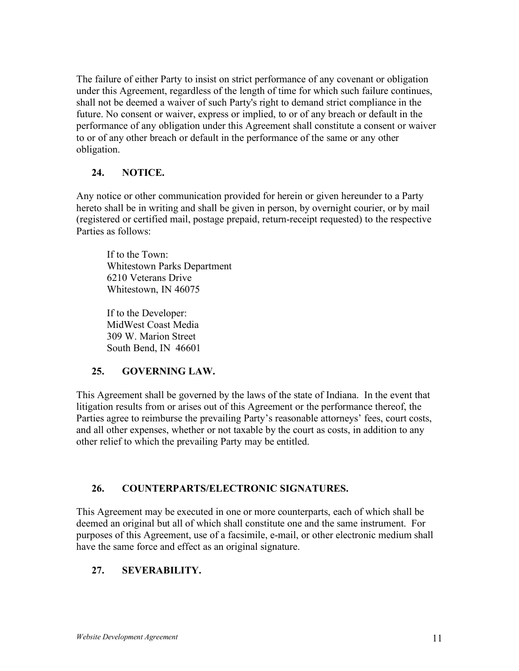The failure of either Party to insist on strict performance of any covenant or obligation under this Agreement, regardless of the length of time for which such failure continues, shall not be deemed a waiver of such Party's right to demand strict compliance in the future. No consent or waiver, express or implied, to or of any breach or default in the performance of any obligation under this Agreement shall constitute a consent or waiver to or of any other breach or default in the performance of the same or any other obligation.

### **24. NOTICE.**

Any notice or other communication provided for herein or given hereunder to a Party hereto shall be in writing and shall be given in person, by overnight courier, or by mail (registered or certified mail, postage prepaid, return-receipt requested) to the respective Parties as follows:

If to the Town: Whitestown Parks Department 6210 Veterans Drive Whitestown, IN 46075

If to the Developer: MidWest Coast Media 309 W. Marion Street South Bend, IN 46601

#### **25. GOVERNING LAW.**

This Agreement shall be governed by the laws of the state of Indiana. In the event that litigation results from or arises out of this Agreement or the performance thereof, the Parties agree to reimburse the prevailing Party's reasonable attorneys' fees, court costs, and all other expenses, whether or not taxable by the court as costs, in addition to any other relief to which the prevailing Party may be entitled.

#### **26. COUNTERPARTS/ELECTRONIC SIGNATURES.**

This Agreement may be executed in one or more counterparts, each of which shall be deemed an original but all of which shall constitute one and the same instrument. For purposes of this Agreement, use of a facsimile, e-mail, or other electronic medium shall have the same force and effect as an original signature.

# **27. SEVERABILITY.**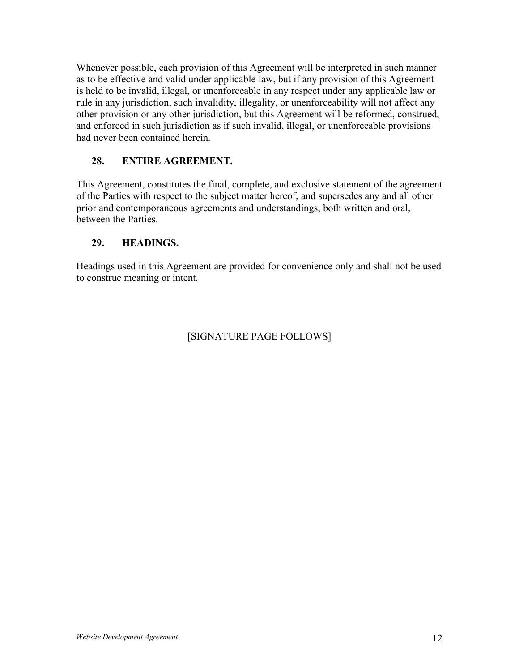Whenever possible, each provision of this Agreement will be interpreted in such manner as to be effective and valid under applicable law, but if any provision of this Agreement is held to be invalid, illegal, or unenforceable in any respect under any applicable law or rule in any jurisdiction, such invalidity, illegality, or unenforceability will not affect any other provision or any other jurisdiction, but this Agreement will be reformed, construed, and enforced in such jurisdiction as if such invalid, illegal, or unenforceable provisions had never been contained herein.

## **28. ENTIRE AGREEMENT.**

This Agreement, constitutes the final, complete, and exclusive statement of the agreement of the Parties with respect to the subject matter hereof, and supersedes any and all other prior and contemporaneous agreements and understandings, both written and oral, between the Parties.

## **29. HEADINGS.**

Headings used in this Agreement are provided for convenience only and shall not be used to construe meaning or intent.

# [SIGNATURE PAGE FOLLOWS]